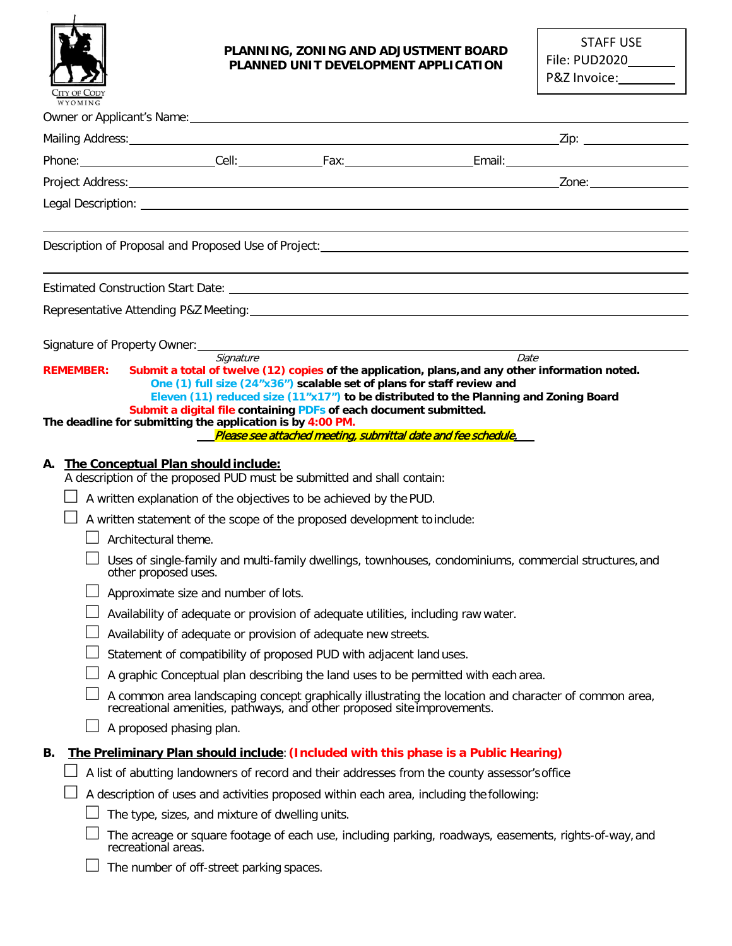

#### **PLANNING, ZONING AND ADJUSTMENT BOARD PLANNED UNIT DEVELOPMENT APPLICATION**

| STAFF USE     |
|---------------|
| File: PUD2020 |
| P&Z Invoice:  |

|                  |                                                                                                                                                                                                                                                                                                                                                                                                                                                                                                                                                                                                                                                                                                                                                                                    | Representative Attending P&Z Meeting: Notice and Contract and Contract and Contract and Contract and Contract and Contract and Contract and Contract and Contract and Contract and Contract and Contract and Contract and Cont |
|------------------|------------------------------------------------------------------------------------------------------------------------------------------------------------------------------------------------------------------------------------------------------------------------------------------------------------------------------------------------------------------------------------------------------------------------------------------------------------------------------------------------------------------------------------------------------------------------------------------------------------------------------------------------------------------------------------------------------------------------------------------------------------------------------------|--------------------------------------------------------------------------------------------------------------------------------------------------------------------------------------------------------------------------------|
| <b>REMEMBER:</b> | Signature<br>One (1) full size (24"x36") scalable set of plans for staff review and                                                                                                                                                                                                                                                                                                                                                                                                                                                                                                                                                                                                                                                                                                | Date<br>Submit a total of twelve (12) copies of the application, plans, and any other information noted.                                                                                                                       |
|                  | Submit a digital file containing PDFs of each document submitted.<br>The deadline for submitting the application is by 4:00 PM.                                                                                                                                                                                                                                                                                                                                                                                                                                                                                                                                                                                                                                                    | Eleven (11) reduced size (11"x17") to be distributed to the Planning and Zoning Board<br>Please see attached meeting, submittal date and fee schedule.                                                                         |
| А.               | The Conceptual Plan should include:<br>A description of the proposed PUD must be submitted and shall contain:<br>A written explanation of the objectives to be achieved by the PUD.<br>A written statement of the scope of the proposed development to include:<br>Architectural theme.<br>other proposed uses.<br>Approximate size and number of lots.<br>Availability of adequate or provision of adequate utilities, including raw water.<br>Availability of adequate or provision of adequate new streets.<br>Statement of compatibility of proposed PUD with adjacent land uses.<br>A graphic Conceptual plan describing the land uses to be permitted with each area.<br>recreational amenities, pathways, and other proposed site improvements.<br>A proposed phasing plan. | Uses of single-family and multi-family dwellings, townhouses, condominiums, commercial structures, and<br>A common area landscaping concept graphically illustrating the location and character of common area,                |
| В.               | The Preliminary Plan should include: (Included with this phase is a Public Hearing)<br>A description of uses and activities proposed within each area, including the following:<br>The type, sizes, and mixture of dwelling units.<br>recreational areas.                                                                                                                                                                                                                                                                                                                                                                                                                                                                                                                          | A list of abutting landowners of record and their addresses from the county assessor's office<br>The acreage or square footage of each use, including parking, roadways, easements, rights-of-way, and                         |

□ The number of off-street parking spaces.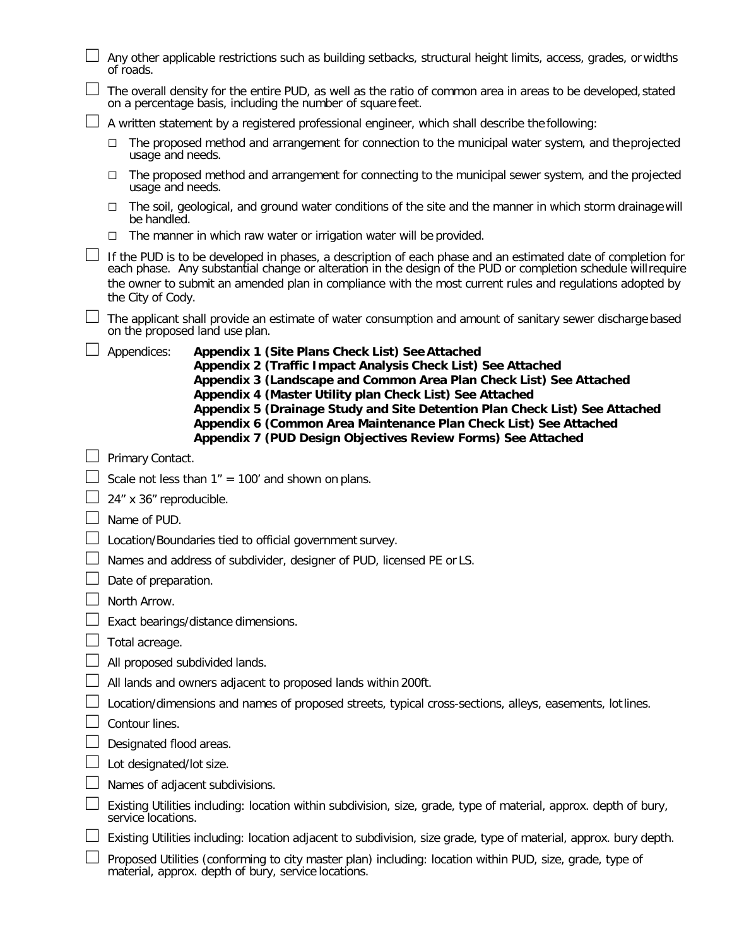| Any other applicable restrictions such as building setbacks, structural height limits, access, grades, or widths<br>of roads.                                                                                                                                                                                                                                                                                                                                                         |
|---------------------------------------------------------------------------------------------------------------------------------------------------------------------------------------------------------------------------------------------------------------------------------------------------------------------------------------------------------------------------------------------------------------------------------------------------------------------------------------|
| The overall density for the entire PUD, as well as the ratio of common area in areas to be developed, stated<br>on a percentage basis, including the number of square feet.                                                                                                                                                                                                                                                                                                           |
| A written statement by a registered professional engineer, which shall describe the following:                                                                                                                                                                                                                                                                                                                                                                                        |
| The proposed method and arrangement for connection to the municipal water system, and the projected<br>⊔<br>usage and needs.                                                                                                                                                                                                                                                                                                                                                          |
| The proposed method and arrangement for connecting to the municipal sewer system, and the projected<br>□<br>usage and needs.                                                                                                                                                                                                                                                                                                                                                          |
| The soil, geological, and ground water conditions of the site and the manner in which storm drainage will<br>□<br>be handled.                                                                                                                                                                                                                                                                                                                                                         |
| The manner in which raw water or irrigation water will be provided.<br>□                                                                                                                                                                                                                                                                                                                                                                                                              |
| If the PUD is to be developed in phases, a description of each phase and an estimated date of completion for<br>each phase. Any substantial change or alteration in the design of the PUD or completion schedule will require<br>the owner to submit an amended plan in compliance with the most current rules and regulations adopted by<br>the City of Cody.                                                                                                                        |
| The applicant shall provide an estimate of water consumption and amount of sanitary sewer discharge based<br>on the proposed land use plan.                                                                                                                                                                                                                                                                                                                                           |
| Appendices:<br>Appendix 1 (Site Plans Check List) See Attached<br>Appendix 2 (Traffic Impact Analysis Check List) See Attached<br>Appendix 3 (Landscape and Common Area Plan Check List) See Attached<br>Appendix 4 (Master Utility plan Check List) See Attached<br>Appendix 5 (Drainage Study and Site Detention Plan Check List) See Attached<br>Appendix 6 (Common Area Maintenance Plan Check List) See Attached<br>Appendix 7 (PUD Design Objectives Review Forms) See Attached |
| Primary Contact.                                                                                                                                                                                                                                                                                                                                                                                                                                                                      |
|                                                                                                                                                                                                                                                                                                                                                                                                                                                                                       |
| Scale not less than $1'' = 100'$ and shown on plans.                                                                                                                                                                                                                                                                                                                                                                                                                                  |
| 24" x 36" reproducible.                                                                                                                                                                                                                                                                                                                                                                                                                                                               |
| Name of PUD.                                                                                                                                                                                                                                                                                                                                                                                                                                                                          |
| Location/Boundaries tied to official government survey.                                                                                                                                                                                                                                                                                                                                                                                                                               |
| Names and address of subdivider, designer of PUD, licensed PE or LS.                                                                                                                                                                                                                                                                                                                                                                                                                  |
| Date of preparation.                                                                                                                                                                                                                                                                                                                                                                                                                                                                  |
| North Arrow.                                                                                                                                                                                                                                                                                                                                                                                                                                                                          |
| Exact bearings/distance dimensions.                                                                                                                                                                                                                                                                                                                                                                                                                                                   |
| Total acreage.                                                                                                                                                                                                                                                                                                                                                                                                                                                                        |
| All proposed subdivided lands.                                                                                                                                                                                                                                                                                                                                                                                                                                                        |
| All lands and owners adjacent to proposed lands within 200ft.                                                                                                                                                                                                                                                                                                                                                                                                                         |
| Location/dimensions and names of proposed streets, typical cross-sections, alleys, easements, lot lines.                                                                                                                                                                                                                                                                                                                                                                              |
| Contour lines.                                                                                                                                                                                                                                                                                                                                                                                                                                                                        |
| Designated flood areas.                                                                                                                                                                                                                                                                                                                                                                                                                                                               |
| Lot designated/lot size.                                                                                                                                                                                                                                                                                                                                                                                                                                                              |
| Names of adjacent subdivisions.                                                                                                                                                                                                                                                                                                                                                                                                                                                       |
| Existing Utilities including: location within subdivision, size, grade, type of material, approx. depth of bury,<br>service locations.                                                                                                                                                                                                                                                                                                                                                |
| Existing Utilities including: location adjacent to subdivision, size grade, type of material, approx. bury depth.                                                                                                                                                                                                                                                                                                                                                                     |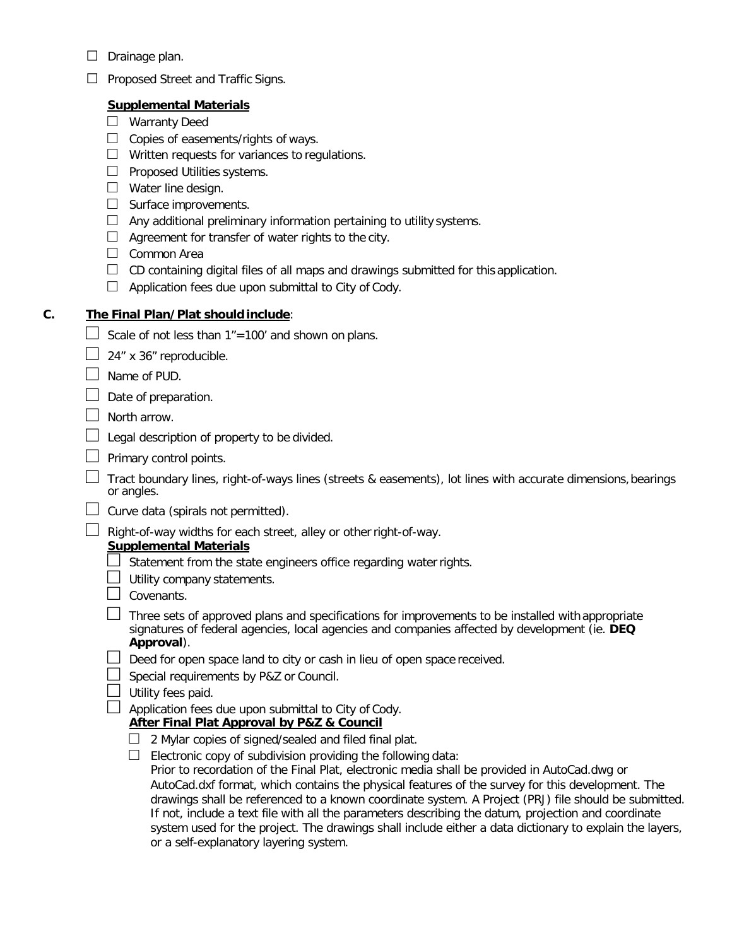- $\Box$  Drainage plan.
- □ Proposed Street and Traffic Signs.

## **Supplemental Materials**

- □ Warranty Deed
- $\Box$  Copies of easements/rights of ways.
- $\Box$  Written requests for variances to regulations.
- □ Proposed Utilities systems.
- □ Water line design.
- □ Surface improvements.
- $\Box$  Any additional preliminary information pertaining to utility systems.
- $\Box$  Agreement for transfer of water rights to the city.
- □ Common Area
- $\Box$  CD containing digital files of all maps and drawings submitted for this application.
- $\Box$  Application fees due upon submittal to City of Cody.

## **C. The Final Plan/Plat should include**:

- Scale of not less than  $1" = 100'$  and shown on plans.
- $\Box$  24" x 36" reproducible.
- $\Box$  Name of PUD.
- $\Box$  Date of preparation.
- $\Box$  North arrow.
- $\Box$  Legal description of property to be divided.
- $\Box$  Primary control points.
- $\Box$  Tract boundary lines, right-of-ways lines (streets & easements), lot lines with accurate dimensions, bearings or angles.
- $\Box$  Curve data (spirals not permitted).
- $\Box$  Right-of-way widths for each street, alley or other right-of-way.

## **Supplemental Materials**

- $\exists$  Statement from the state engineers office regarding water rights.
- $\Box$  Utility company statements.
- $\Box$  Covenants.
- $\Box$  Three sets of approved plans and specifications for improvements to be installed with appropriate signatures of federal agencies, local agencies and companies affected by development (ie. **DEQ Approval**).
- $\Box$  Deed for open space land to city or cash in lieu of open space received.
- $\Box$  Special requirements by P&Z or Council.
- $\Box$  Utility fees paid.
- $\Box$  Application fees due upon submittal to City of Cody.

### **After Final Plat Approval by P&Z & Council**

- $\Box$  2 Mylar copies of signed/sealed and filed final plat.
- $\Box$  Electronic copy of subdivision providing the following data:

Prior to recordation of the Final Plat, electronic media shall be provided in AutoCad.dwg or AutoCad.dxf format, which contains the physical features of the survey for this development. The drawings shall be referenced to a known coordinate system. A Project (PRJ) file should be submitted. If not, include a text file with all the parameters describing the datum, projection and coordinate system used for the project. The drawings shall include either a data dictionary to explain the layers, or a self-explanatory layering system.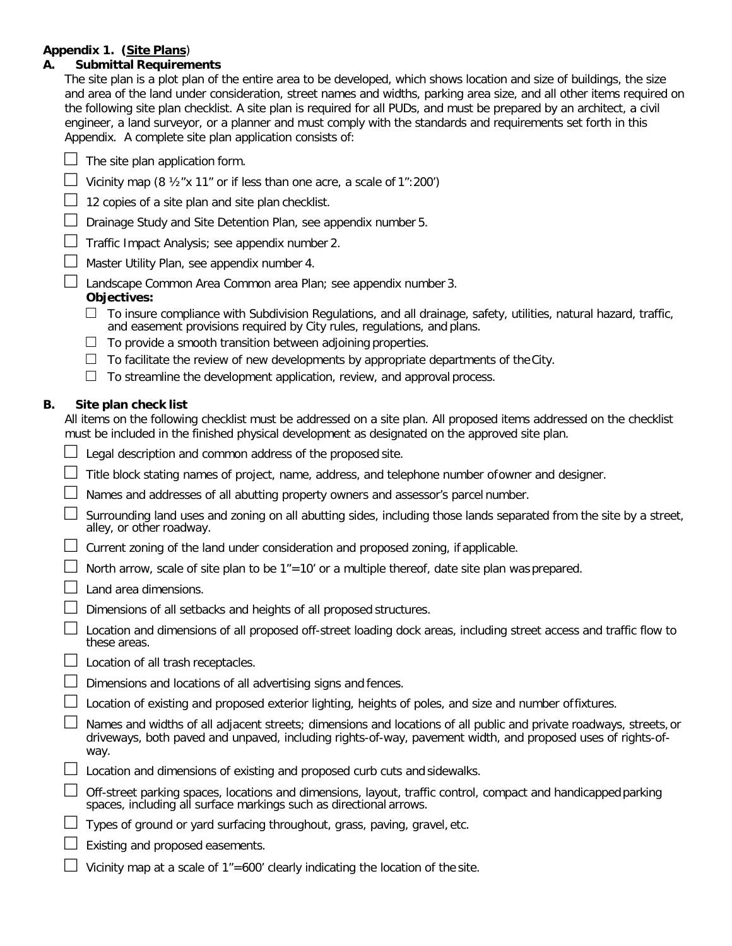#### **Appendix 1. (Site Plans**)

#### **A. Submittal Requirements**

The site plan is a plot plan of the entire area to be developed, which shows location and size of buildings, the size and area of the land under consideration, street names and widths, parking area size, and all other items required on the following site plan checklist. A site plan is required for all PUDs, and must be prepared by an architect, a civil engineer, a land surveyor, or a planner and must comply with the standards and requirements set forth in this Appendix. A complete site plan application consists of:

|  | $\Box$ The site plan application form. |
|--|----------------------------------------|
|  |                                        |

 $\Box$  Vicinity map (8  $\frac{1}{2}$  x 11" or if less than one acre, a scale of 1":200")

 $\Box$  12 copies of a site plan and site plan checklist.

- $\Box$  Drainage Study and Site Detention Plan, see appendix number 5.
- $\Box$  Traffic Impact Analysis; see appendix number 2.
	- □ Master Utility Plan, see appendix number 4.

□ Landscape Common Area Common area Plan; see appendix number 3.

#### **Objectives:**

- $\Box$  To insure compliance with Subdivision Regulations, and all drainage, safety, utilities, natural hazard, traffic, and easement provisions required by City rules, regulations, and plans.
- $\Box$  To provide a smooth transition between adjoining properties.
- $\Box$  To facilitate the review of new developments by appropriate departments of the City.
- $\Box$  To streamline the development application, review, and approval process.

#### **B. Site plan check list**

All items on the following checklist must be addressed on a site plan. All proposed items addressed on the checklist must be included in the finished physical development as designated on the approved site plan.

- Legal description and common address of the proposed site.
- $\perp$  Title block stating names of project, name, address, and telephone number ofowner and designer.
- $\Box$  Names and addresses of all abutting property owners and assessor's parcel number.
- □ Surrounding land uses and zoning on all abutting sides, including those lands separated from the site by a street, alley, or other roadway.
- $\Box$  Current zoning of the land under consideration and proposed zoning, if applicable.
- $\Box$  North arrow, scale of site plan to be 1"=10' or a multiple thereof, date site plan was prepared.
- $\Box$  Land area dimensions.
- Dimensions of all setbacks and heights of all proposed structures.
- □ Location and dimensions of all proposed off-street loading dock areas, including street access and traffic flow to these areas.
- $\Box$  Location of all trash receptacles.
- $\Box$  Dimensions and locations of all advertising signs and fences.
- $\perp$  Location of existing and proposed exterior lighting, heights of poles, and size and number offixtures.
- Names and widths of all adjacent streets; dimensions and locations of all public and private roadways, streets, or driveways, both paved and unpaved, including rights-of-way, pavement width, and proposed uses of rights-ofway.
- $\Box$  Location and dimensions of existing and proposed curb cuts and sidewalks.
- $\Box$  Off-street parking spaces, locations and dimensions, layout, traffic control, compact and handicapped parking spaces, including all surface markings such as directional arrows.
- $\Box$  Types of ground or yard surfacing throughout, grass, paving, gravel, etc.
- $\Box$  Existing and proposed easements.
- $\Box$  Vicinity map at a scale of 1"=600' clearly indicating the location of the site.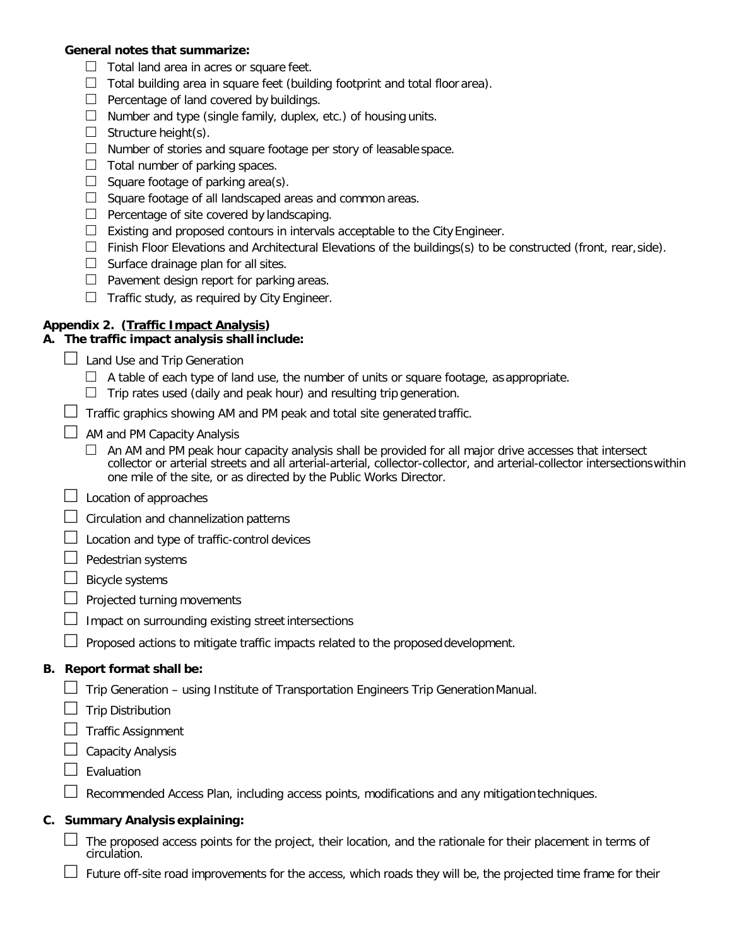#### **General notes that summarize:**

- $\Box$  Total land area in acres or square feet.
- $\Box$  Total building area in square feet (building footprint and total floor area).
- $\Box$  Percentage of land covered by buildings.
- $\Box$  Number and type (single family, duplex, etc.) of housing units.
- $\Box$  Structure height(s).
- $\Box$  Number of stories and square footage per story of leasable space.
- $\Box$  Total number of parking spaces.
- $\Box$  Square footage of parking area(s).
- $\Box$  Square footage of all landscaped areas and common areas.
- $\Box$  Percentage of site covered by landscaping.
- $\Box$  Existing and proposed contours in intervals acceptable to the City Engineer.
- $\Box$  Finish Floor Elevations and Architectural Elevations of the buildings(s) to be constructed (front, rear, side).
- $\Box$  Surface drainage plan for all sites.
- $\Box$  Pavement design report for parking areas.
- $\Box$  Traffic study, as required by City Engineer.

## **Appendix 2. (Traffic Impact Analysis)**

## **A. The traffic impact analysis shall include:**

- $\Box$  Land Use and Trip Generation
	- $\Box$  A table of each type of land use, the number of units or square footage, as appropriate.
	- $\Box$  Trip rates used (daily and peak hour) and resulting trip generation.
- $\Box$  Traffic graphics showing AM and PM peak and total site generated traffic.
- $\Box$  AM and PM Capacity Analysis
	- $\Box$  An AM and PM peak hour capacity analysis shall be provided for all major drive accesses that intersect collector or arterial streets and all arterial-arterial, collector-collector, and arterial-collector intersectionswithin one mile of the site, or as directed by the Public Works Director.
- $\Box$  Location of approaches
- $\Box$  Circulation and channelization patterns
- $\Box$  Location and type of traffic-control devices
- $\Box$  Pedestrian systems
- □ Bicycle systems
- $\Box$  Projected turning movements
- $\Box$  Impact on surrounding existing street intersections
- $\Box$  Proposed actions to mitigate traffic impacts related to the proposed development.

## **B. Report format shall be:**

- $\Box$  Trip Generation using Institute of Transportation Engineers Trip Generation Manual.
- $\Box$  Trip Distribution
- □ Traffic Assignment
- $\Box$  Capacity Analysis
- $\Box$  Evaluation

 $\Box$  Recommended Access Plan, including access points, modifications and any mitigation techniques.

## **C. Summary Analysis explaining:**

- $\Box$  The proposed access points for the project, their location, and the rationale for their placement in terms of circulation.
	- □ Future off-site road improvements for the access, which roads they will be, the projected time frame for their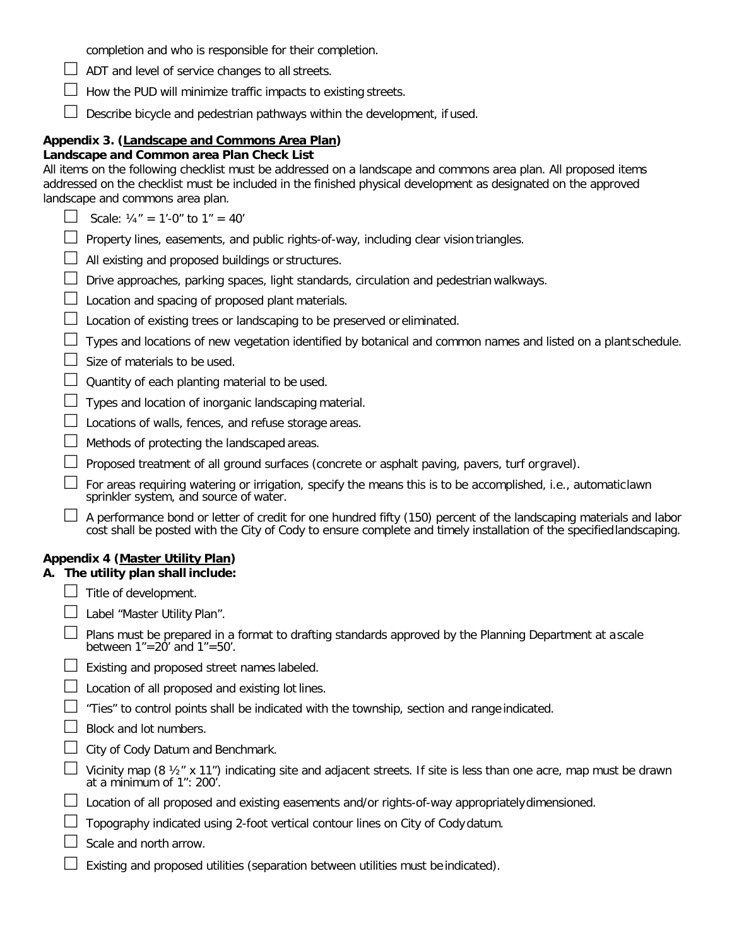|  |  |  |  | $\Box$ ADT and level of service changes to all streets. |
|--|--|--|--|---------------------------------------------------------|
|  |  |  |  |                                                         |

 $\Box$  How the PUD will minimize traffic impacts to existing streets.

 $\Box$  Describe bicycle and pedestrian pathways within the development, if used.

#### **Appendix 3. (Landscape and Commons Area Plan)**

#### **Landscape and Common area Plan Check List**

All items on the following checklist must be addressed on a landscape and commons area plan. All proposed items addressed on the checklist must be included in the finished physical development as designated on the approved landscape and commons area plan.

| Scale: $\frac{1}{4}$ " = 1'-0" to 1" = 40' |  |  |
|--------------------------------------------|--|--|
|                                            |  |  |

- $\Box$  Property lines, easements, and public rights-of-way, including clear vision triangles.
- $\Box$  All existing and proposed buildings or structures.
- $\Box$  Drive approaches, parking spaces, light standards, circulation and pedestrian walkways.
- $\Box$  Location and spacing of proposed plant materials.
- $\perp$  Location of existing trees or landscaping to be preserved or eliminated.

| $\Box$ Types and locations of new vegetation identified by botanical and common names and listed on a plantschedule. |  |
|----------------------------------------------------------------------------------------------------------------------|--|
|                                                                                                                      |  |

- $\Box$  Size of materials to be used.
- $\Box$  Quantity of each planting material to be used.
- $\Box$  Types and location of inorganic landscaping material.
- $\Box$  Locations of walls, fences, and refuse storage areas.
- $\Box$  Methods of protecting the landscaped areas.
- $\Box$  Proposed treatment of all ground surfaces (concrete or asphalt paving, pavers, turf orgravel).
- □ For areas requiring watering or irrigation, specify the means this is to be accomplished, i.e., automaticlawn<br>sprinkler system, and source of water.
- $\Box$  A performance bond or letter of credit for one hundred fifty (150) percent of the landscaping materials and labor cost shall be posted with the City of Cody to ensure complete and timely installation of the specified

#### **Appendix 4 (Master Utility Plan)**

#### **A. The utility plan shall include:**

- $\Box$  Title of development.
- $\Box$  Label "Master Utility Plan".<br> $\Box$  Plans must be prepared in

| $\Box$ Plans must be prepared in a format to drafting standards approved by the Planning Department at ascale |
|---------------------------------------------------------------------------------------------------------------|
| between $1" = 20'$ and $1" = 50'$ .                                                                           |

- $\Box$  Existing and proposed street names labeled.
- $\Box$  Location of all proposed and existing lot lines.
- $\Box$  "Ties" to control points shall be indicated with the township, section and range indicated.
- □ Block and lot numbers.
- □ City of Cody Datum and Benchmark.
- □ Vicinity map (8 ½" x 11") indicating site and adjacent streets. If site is less than one acre, map must be drawn at a minimum of 1": 200'.
- $\Box$  Location of all proposed and existing easements and/or rights-of-way appropriately dimensioned.
- $\Box$  Topography indicated using 2-foot vertical contour lines on City of Cody datum.
- □ Scale and north arrow.
- $\exists$  Existing and proposed utilities (separation between utilities must be indicated).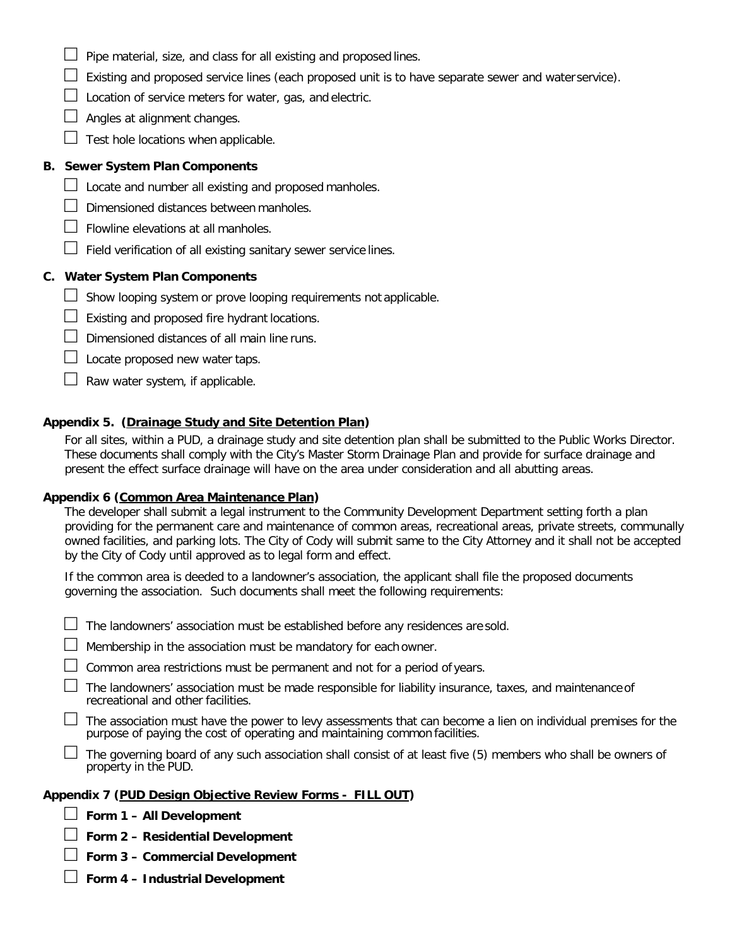- $\Box$  Pipe material, size, and class for all existing and proposed lines.
- $\Box$  Existing and proposed service lines (each proposed unit is to have separate sewer and water service).
- $\Box$  Location of service meters for water, gas, and electric.
- $\Box$  Angles at alignment changes.
- $\Box$  Test hole locations when applicable.

#### **B. Sewer System Plan Components**

- $\Box$  Locate and number all existing and proposed manholes.
- $\Box$  Dimensioned distances between manholes.
- $\Box$  Flowline elevations at all manholes.
- $\Box$  Field verification of all existing sanitary sewer service lines.

#### **C. Water System Plan Components**

- $\Box$  Show looping system or prove looping requirements not applicable.
- $\Box$  Existing and proposed fire hydrant locations.
- $\Box$  Dimensioned distances of all main line runs.
- $\Box$  Locate proposed new water taps.
- $\Box$  Raw water system, if applicable.

#### **Appendix 5. (Drainage Study and Site Detention Plan)**

For all sites, within a PUD, a drainage study and site detention plan shall be submitted to the Public Works Director. These documents shall comply with the City's Master Storm Drainage Plan and provide for surface drainage and present the effect surface drainage will have on the area under consideration and all abutting areas.

#### **Appendix 6 (Common Area Maintenance Plan)**

The developer shall submit a legal instrument to the Community Development Department setting forth a plan providing for the permanent care and maintenance of common areas, recreational areas, private streets, communally owned facilities, and parking lots. The City of Cody will submit same to the City Attorney and it shall not be accepted by the City of Cody until approved as to legal form and effect.

If the common area is deeded to a landowner's association, the applicant shall file the proposed documents governing the association. Such documents shall meet the following requirements:

 $\Box$  The landowners' association must be established before any residences are sold.

 $\Box$  Membership in the association must be mandatory for each owner.

□ Common area restrictions must be permanent and not for a period of years.

 $\Box$  The landowners' association must be made responsible for liability insurance, taxes, and maintenance of recreational and other facilities.

 $\perp$  The association must have the power to levy assessments that can become a lien on individual premises for the purpose of paying the cost of operating and maintaining common facilities.

 $\Box$  The governing board of any such association shall consist of at least five (5) members who shall be owners of property in the PUD.

#### **Appendix 7 (PUD Design Objective Review Forms - FILL OUT)**

- □ **Form 1 – All Development**
- □ **Form 2 – Residential Development**
- □ **Form 3 – Commercial Development**
- □ **Form 4 – Industrial Development**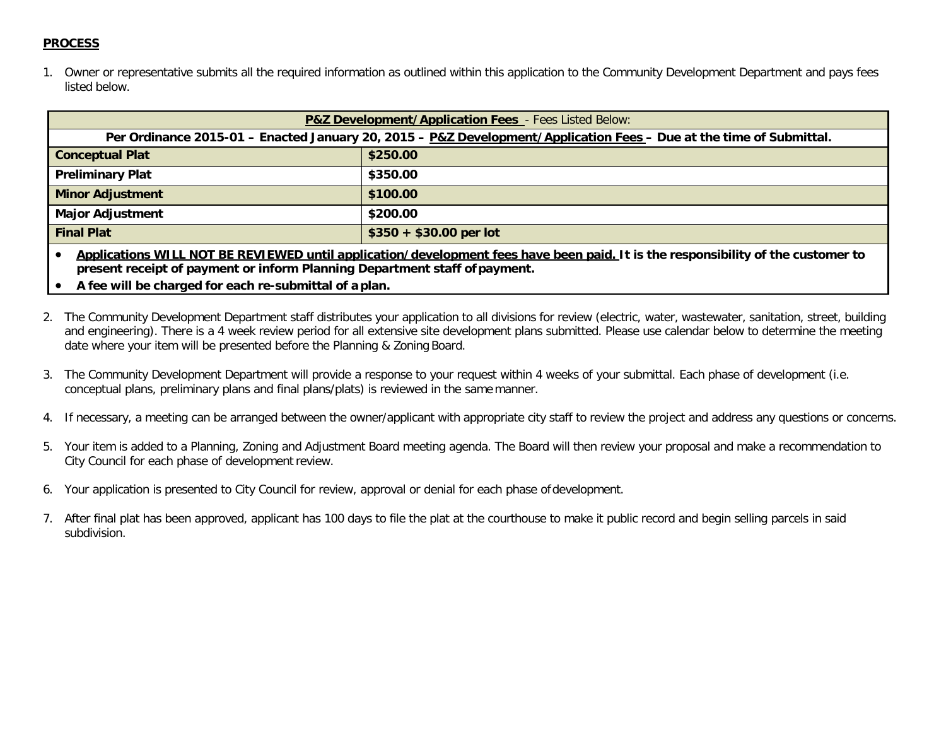#### **PROCESS**

1. Owner or representative submits all the required information as outlined within this application to the Community Development Department and pays fees listed below.

| <b>P&amp;Z Development/Application Fees</b> - Fees Listed Below:                                                    |                         |  |  |  |
|---------------------------------------------------------------------------------------------------------------------|-------------------------|--|--|--|
| Per Ordinance 2015-01 - Enacted January 20, 2015 - P&Z Development/Application Fees - Due at the time of Submittal. |                         |  |  |  |
| <b>Conceptual Plat</b>                                                                                              | \$250.00                |  |  |  |
| <b>Preliminary Plat</b>                                                                                             | \$350.00                |  |  |  |
| <b>Minor Adjustment</b>                                                                                             | \$100.00                |  |  |  |
| <b>Major Adjustment</b>                                                                                             | \$200.00                |  |  |  |
| <b>Final Plat</b>                                                                                                   | $$350 + $30.00$ per lot |  |  |  |
|                                                                                                                     |                         |  |  |  |

• **Applications WILL NOT BE REVIEWED until application/development fees have been paid. It is the responsibility of the customer to present receipt of payment or inform Planning Department staff of payment.**

- **A fee will be charged for each re-submittal of a plan.**
- 2. The Community Development Department staff distributes your application to all divisions for review (electric, water, wastewater, sanitation, street, building and engineering). There is a 4 week review period for all extensive site development plans submitted. Please use calendar below to determine the meeting date where your item will be presented before the Planning & Zoning Board.
- 3. The Community Development Department will provide a response to your request within 4 weeks of your submittal. Each phase of development (i.e. conceptual plans, preliminary plans and final plans/plats) is reviewed in the same manner.
- 4. If necessary, a meeting can be arranged between the owner/applicant with appropriate city staff to review the project and address any questions or concerns.
- 5. Your item is added to a Planning, Zoning and Adjustment Board meeting agenda. The Board will then review your proposal and make a recommendation to City Council for each phase of development review.
- 6. Your application is presented to City Council for review, approval or denial for each phase ofdevelopment.
- 7. After final plat has been approved, applicant has 100 days to file the plat at the courthouse to make it public record and begin selling parcels in said subdivision.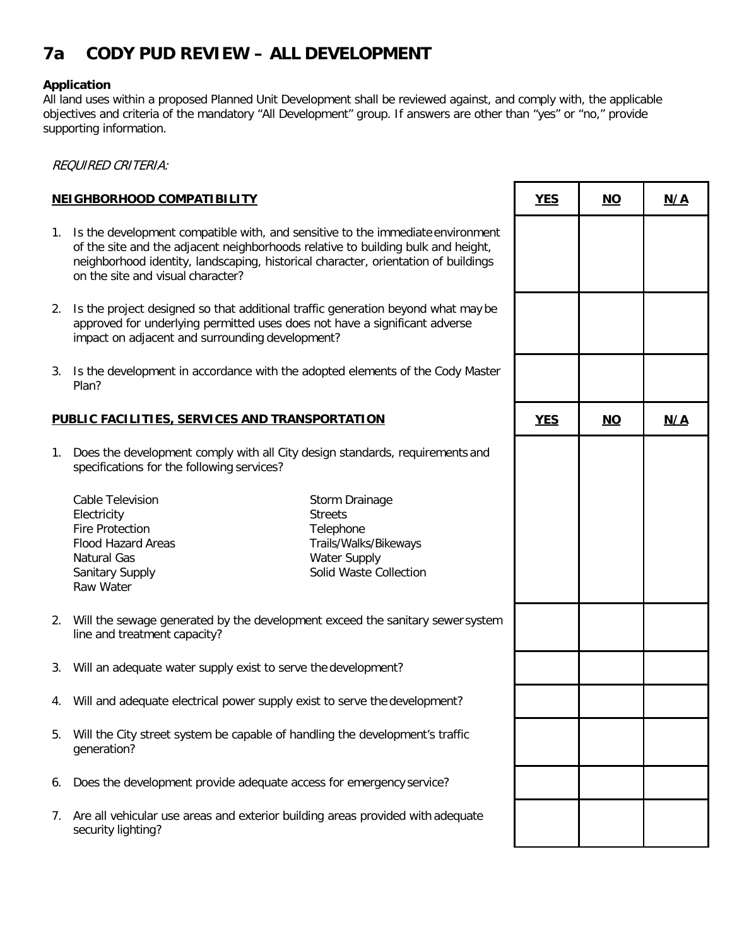## **7a CODY PUD REVIEW – ALL DEVELOPMENT**

#### **Application**

All land uses within a proposed Planned Unit Development shall be reviewed against, and comply with, the applicable objectives and criteria of the mandatory "All Development" group. If answers are other than "yes" or "no," provide supporting information.

REQUIRED CRITERIA:

#### **NEIGHBORHOOD COMPATIBILITY**

- 1. Is the development compatible with, and sensitive to the immediate environment of the site and the adjacent neighborhoods relative to building bulk and height, neighborhood identity, landscaping, historical character, orientation of buildings on the site and visual character?
- 2. Is the project designed so that additional traffic generation beyond what may be approved for underlying permitted uses does not have a significant adverse impact on adjacent and surrounding development?
- 3. Is the development in accordance with the adopted elements of the Cody Master Plan?

#### **PUBLIC FACILITIES, SERVICES AND TRANSPORTATION**

1. Does the development comply with all City design standards, requirements and specifications for the following services?

Cable Television **Electricity** Fire Protection Flood Hazard Areas Natural Gas Sanitary Supply Raw Water

Storm Drainage **Streets Telephone** Trails/Walks/Bikeways Water Supply Solid Waste Collection

- 2. Will the sewage generated by the development exceed the sanitary sewer system line and treatment capacity?
- 3. Will an adequate water supply exist to serve the development?
- 4. Will and adequate electrical power supply exist to serve the development?
- 5. Will the City street system be capable of handling the development's traffic generation?
- 6. Does the development provide adequate access for emergency service?
- 7. Are all vehicular use areas and exterior building areas provided with adequate security lighting?

|   | <b>YES</b> | <u>NO</u> | N/A |
|---|------------|-----------|-----|
| t |            |           |     |
|   |            |           |     |
| r |            |           |     |
|   | <b>YES</b> | <u>NO</u> | N/A |
|   |            |           |     |
| n |            |           |     |
|   |            |           |     |
|   |            |           |     |
|   |            |           |     |
|   |            |           |     |

Т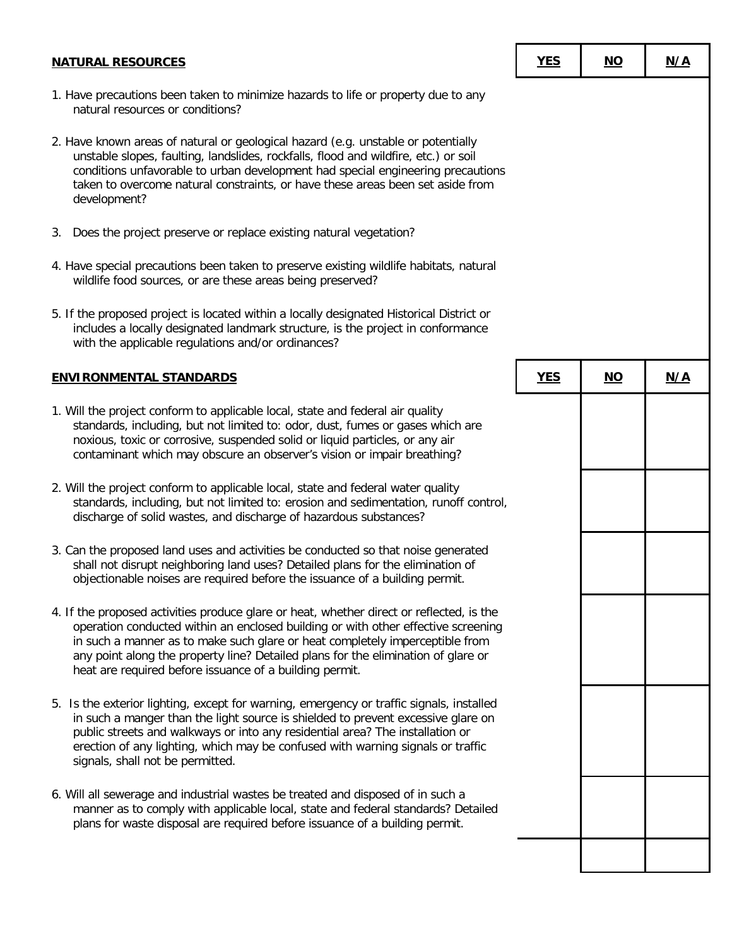| <b>NATURAL RESOURCES</b>                                                                                                                                                                                                                                                                                                                                                                                      | <b>YES</b> | <u>NO</u>                 | N/A |
|---------------------------------------------------------------------------------------------------------------------------------------------------------------------------------------------------------------------------------------------------------------------------------------------------------------------------------------------------------------------------------------------------------------|------------|---------------------------|-----|
| 1. Have precautions been taken to minimize hazards to life or property due to any<br>natural resources or conditions?                                                                                                                                                                                                                                                                                         |            |                           |     |
| 2. Have known areas of natural or geological hazard (e.g. unstable or potentially<br>unstable slopes, faulting, landslides, rockfalls, flood and wildfire, etc.) or soil<br>conditions unfavorable to urban development had special engineering precautions<br>taken to overcome natural constraints, or have these areas been set aside from<br>development?                                                 |            |                           |     |
| Does the project preserve or replace existing natural vegetation?<br>3.                                                                                                                                                                                                                                                                                                                                       |            |                           |     |
| 4. Have special precautions been taken to preserve existing wildlife habitats, natural<br>wildlife food sources, or are these areas being preserved?                                                                                                                                                                                                                                                          |            |                           |     |
| 5. If the proposed project is located within a locally designated Historical District or<br>includes a locally designated landmark structure, is the project in conformance<br>with the applicable regulations and/or ordinances?                                                                                                                                                                             |            |                           |     |
| <b>ENVIRONMENTAL STANDARDS</b>                                                                                                                                                                                                                                                                                                                                                                                | <b>YES</b> | $\underline{\mathsf{NO}}$ | N/A |
| 1. Will the project conform to applicable local, state and federal air quality<br>standards, including, but not limited to: odor, dust, fumes or gases which are<br>noxious, toxic or corrosive, suspended solid or liquid particles, or any air<br>contaminant which may obscure an observer's vision or impair breathing?                                                                                   |            |                           |     |
| 2. Will the project conform to applicable local, state and federal water quality<br>standards, including, but not limited to: erosion and sedimentation, runoff control,<br>discharge of solid wastes, and discharge of hazardous substances?                                                                                                                                                                 |            |                           |     |
| 3. Can the proposed land uses and activities be conducted so that noise generated<br>shall not disrupt neighboring land uses? Detailed plans for the elimination of<br>objectionable noises are required before the issuance of a building permit.                                                                                                                                                            |            |                           |     |
| 4. If the proposed activities produce glare or heat, whether direct or reflected, is the<br>operation conducted within an enclosed building or with other effective screening<br>in such a manner as to make such glare or heat completely imperceptible from<br>any point along the property line? Detailed plans for the elimination of glare or<br>heat are required before issuance of a building permit. |            |                           |     |
| 5. Is the exterior lighting, except for warning, emergency or traffic signals, installed<br>in such a manger than the light source is shielded to prevent excessive glare on<br>public streets and walkways or into any residential area? The installation or<br>erection of any lighting, which may be confused with warning signals or traffic<br>signals, shall not be permitted.                          |            |                           |     |
| 6. Will all sewerage and industrial wastes be treated and disposed of in such a<br>manner as to comply with applicable local, state and federal standards? Detailed<br>plans for waste disposal are required before issuance of a building permit.                                                                                                                                                            |            |                           |     |
|                                                                                                                                                                                                                                                                                                                                                                                                               |            |                           |     |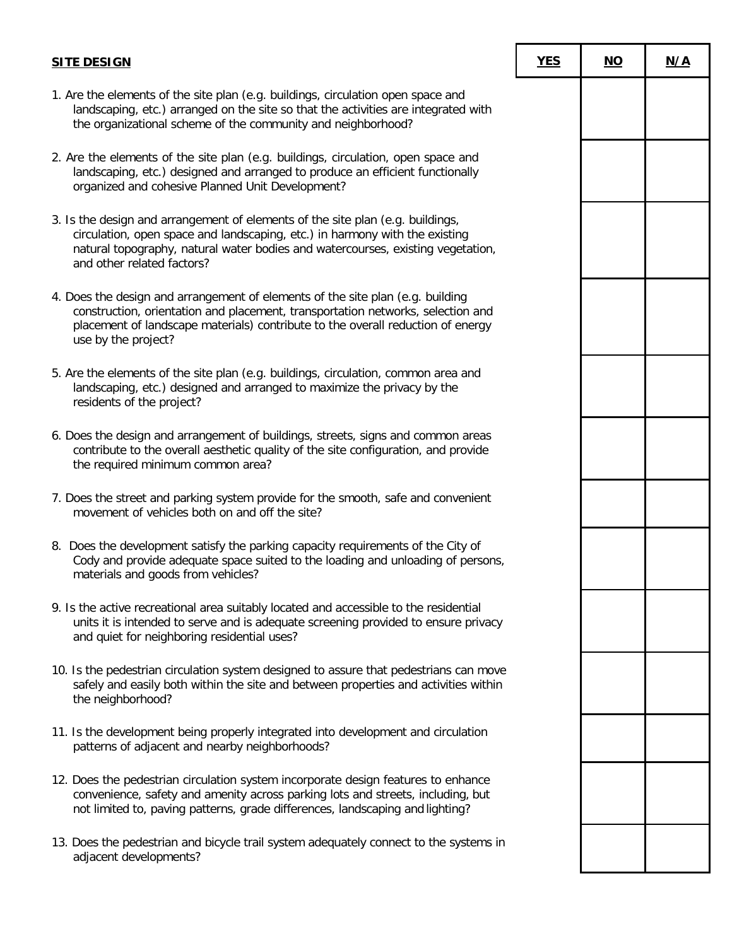## **SITE DESIGN YES NO N/A** 1. Are the elements of the site plan (e.g. buildings, circulation open space and landscaping, etc.) arranged on the site so that the activities are integrated with the organizational scheme of the community and neighborhood? 2. Are the elements of the site plan (e.g. buildings, circulation, open space and landscaping, etc.) designed and arranged to produce an efficient functionally organized and cohesive Planned Unit Development? 3. Is the design and arrangement of elements of the site plan (e.g. buildings, circulation, open space and landscaping, etc.) in harmony with the existing natural topography, natural water bodies and watercourses, existing vegetation,

and other related factors?

- 4. Does the design and arrangement of elements of the site plan (e.g. building construction, orientation and placement, transportation networks, selection and placement of landscape materials) contribute to the overall reduction of energy use by the project?
- 5. Are the elements of the site plan (e.g. buildings, circulation, common area and landscaping, etc.) designed and arranged to maximize the privacy by the residents of the project?
- 6. Does the design and arrangement of buildings, streets, signs and common areas contribute to the overall aesthetic quality of the site configuration, and provide the required minimum common area?
- 7. Does the street and parking system provide for the smooth, safe and convenient movement of vehicles both on and off the site?
- 8. Does the development satisfy the parking capacity requirements of the City of Cody and provide adequate space suited to the loading and unloading of persons, materials and goods from vehicles?
- 9. Is the active recreational area suitably located and accessible to the residential units it is intended to serve and is adequate screening provided to ensure privacy and quiet for neighboring residential uses?
- 10. Is the pedestrian circulation system designed to assure that pedestrians can move safely and easily both within the site and between properties and activities within the neighborhood?
- 11. Is the development being properly integrated into development and circulation patterns of adjacent and nearby neighborhoods?
- 12. Does the pedestrian circulation system incorporate design features to enhance convenience, safety and amenity across parking lots and streets, including, but not limited to, paving patterns, grade differences, landscaping and lighting?
- 13. Does the pedestrian and bicycle trail system adequately connect to the systems in adjacent developments?

| <u>:S</u> | $\underline{\mathsf{NO}}$ | N/A |
|-----------|---------------------------|-----|
|           |                           |     |
|           |                           |     |
|           |                           |     |
|           |                           |     |
|           |                           |     |
|           |                           |     |
|           |                           |     |
|           |                           |     |
|           |                           |     |
|           |                           |     |
|           |                           |     |
|           |                           |     |
|           |                           |     |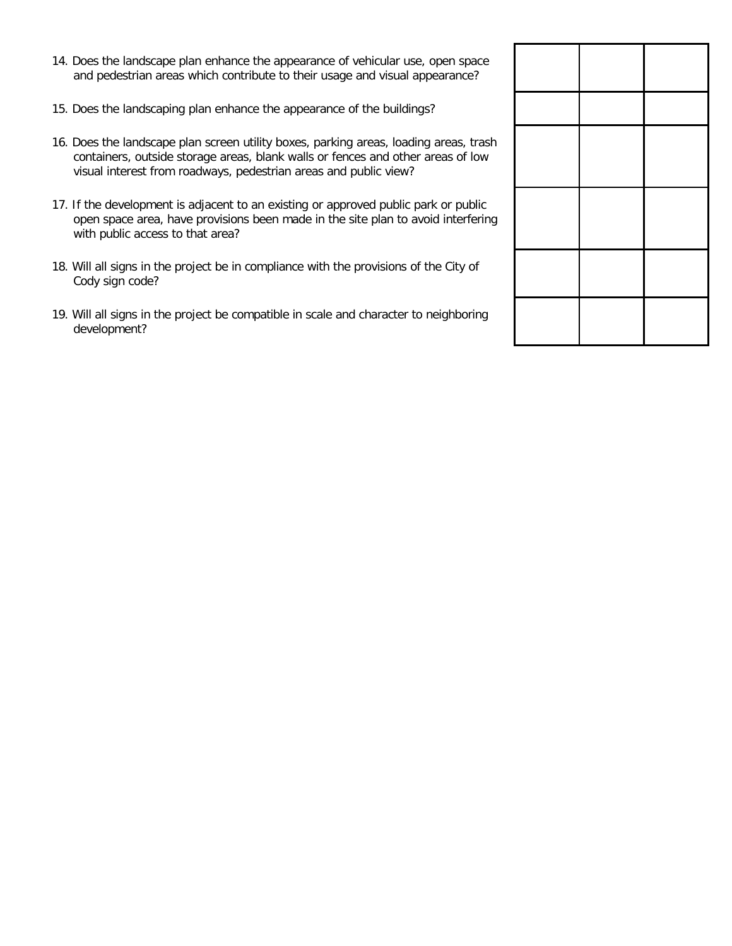- 14. Does the landscape plan enhance the appearance of vehicular use, open space and pedestrian areas which contribute to their usage and visual appearance?
- 15. Does the landscaping plan enhance the appearance of the buildings?
- 16. Does the landscape plan screen utility boxes, parking areas, loading areas, trash containers, outside storage areas, blank walls or fences and other areas of low visual interest from roadways, pedestrian areas and public view?
- 17. If the development is adjacent to an existing or approved public park or public open space area, have provisions been made in the site plan to avoid interfering with public access to that area?
- 18. Will all signs in the project be in compliance with the provisions of the City of Cody sign code?
- 19. Will all signs in the project be compatible in scale and character to neighboring development?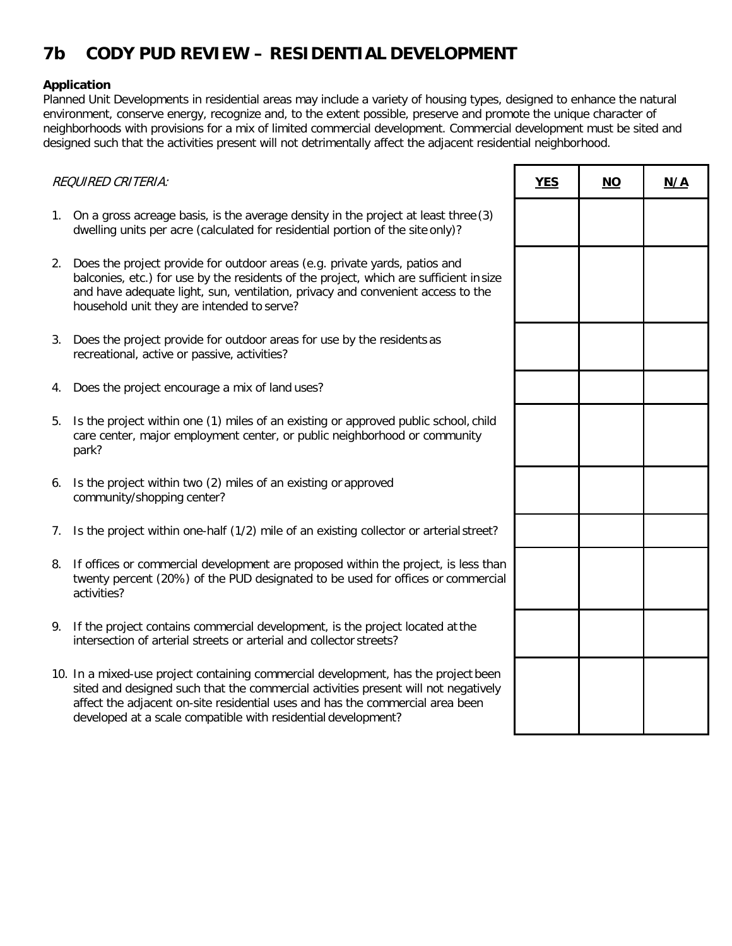# **7b CODY PUD REVIEW – RESIDENTIAL DEVELOPMENT**

#### **Application**

Planned Unit Developments in residential areas may include a variety of housing types, designed to enhance the natural environment, conserve energy, recognize and, to the extent possible, preserve and promote the unique character of neighborhoods with provisions for a mix of limited commercial development. Commercial development must be sited and designed such that the activities present will not detrimentally affect the adjacent residential neighborhood.

| <b>REQUIRED CRITERIA:</b> |                                                                                                                                                                                                                                                                                                                            | <b>YES</b> | $NO$ | N/A |
|---------------------------|----------------------------------------------------------------------------------------------------------------------------------------------------------------------------------------------------------------------------------------------------------------------------------------------------------------------------|------------|------|-----|
|                           | 1. On a gross acreage basis, is the average density in the project at least three (3)<br>dwelling units per acre (calculated for residential portion of the site only)?                                                                                                                                                    |            |      |     |
| 2.                        | Does the project provide for outdoor areas (e.g. private yards, patios and<br>balconies, etc.) for use by the residents of the project, which are sufficient in size<br>and have adequate light, sun, ventilation, privacy and convenient access to the<br>household unit they are intended to serve?                      |            |      |     |
| 3.                        | Does the project provide for outdoor areas for use by the residents as<br>recreational, active or passive, activities?                                                                                                                                                                                                     |            |      |     |
| 4.                        | Does the project encourage a mix of land uses?                                                                                                                                                                                                                                                                             |            |      |     |
| 5.                        | Is the project within one (1) miles of an existing or approved public school, child<br>care center, major employment center, or public neighborhood or community<br>park?                                                                                                                                                  |            |      |     |
| 6.                        | Is the project within two (2) miles of an existing or approved<br>community/shopping center?                                                                                                                                                                                                                               |            |      |     |
| 7.                        | Is the project within one-half (1/2) mile of an existing collector or arterial street?                                                                                                                                                                                                                                     |            |      |     |
| 8.                        | If offices or commercial development are proposed within the project, is less than<br>twenty percent (20%) of the PUD designated to be used for offices or commercial<br>activities?                                                                                                                                       |            |      |     |
| 9.                        | If the project contains commercial development, is the project located at the<br>intersection of arterial streets or arterial and collector streets?                                                                                                                                                                       |            |      |     |
|                           | 10. In a mixed-use project containing commercial development, has the project been<br>sited and designed such that the commercial activities present will not negatively<br>affect the adjacent on-site residential uses and has the commercial area been<br>developed at a scale compatible with residential development? |            |      |     |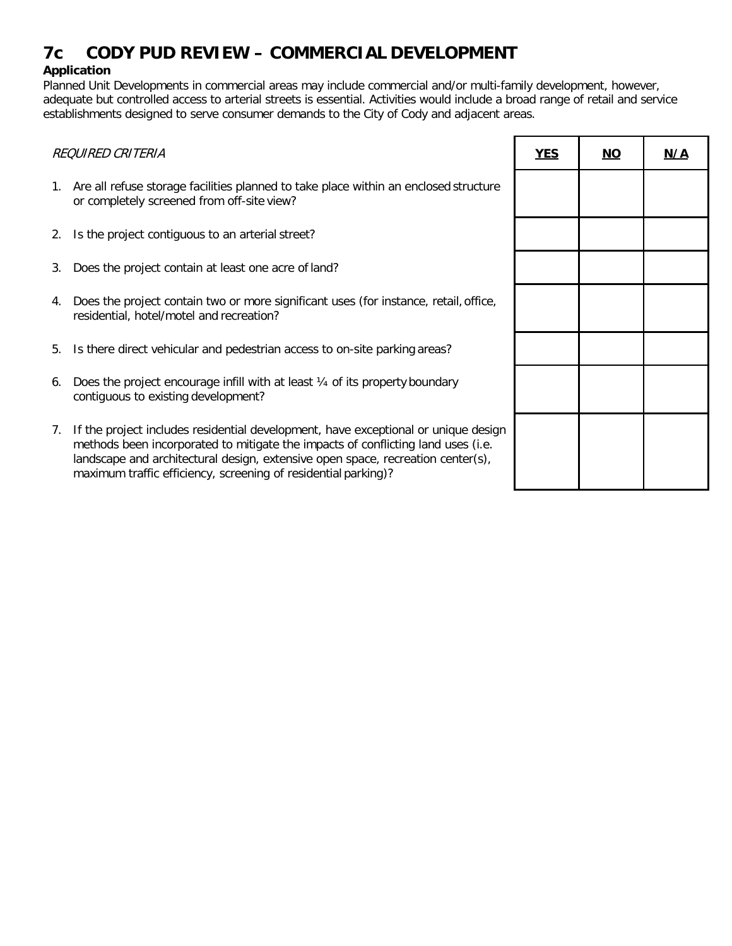## **7c CODY PUD REVIEW – COMMERCIAL DEVELOPMENT**

### **Application**

Planned Unit Developments in commercial areas may include commercial and/or multi-family development, however, adequate but controlled access to arterial streets is essential. Activities would include a broad range of retail and service establishments designed to serve consumer demands to the City of Cody and adjacent areas.

| REQUIRED CRITERIA |                                                                                                                                                                                                                                                                                                                             | <b>YES</b> | <u>NO</u> | N/A |
|-------------------|-----------------------------------------------------------------------------------------------------------------------------------------------------------------------------------------------------------------------------------------------------------------------------------------------------------------------------|------------|-----------|-----|
| 1.                | Are all refuse storage facilities planned to take place within an enclosed structure<br>or completely screened from off-site view?                                                                                                                                                                                          |            |           |     |
| 2.                | Is the project contiguous to an arterial street?                                                                                                                                                                                                                                                                            |            |           |     |
| 3.                | Does the project contain at least one acre of land?                                                                                                                                                                                                                                                                         |            |           |     |
| 4.                | Does the project contain two or more significant uses (for instance, retail, office,<br>residential, hotel/motel and recreation?                                                                                                                                                                                            |            |           |     |
| 5.                | Is there direct vehicular and pedestrian access to on-site parking areas?                                                                                                                                                                                                                                                   |            |           |     |
| 6.                | Does the project encourage infill with at least 1/4 of its property boundary<br>contiguous to existing development?                                                                                                                                                                                                         |            |           |     |
| 7.                | If the project includes residential development, have exceptional or unique design<br>methods been incorporated to mitigate the impacts of conflicting land uses (i.e.<br>landscape and architectural design, extensive open space, recreation center(s),<br>maximum traffic efficiency, screening of residential parking)? |            |           |     |